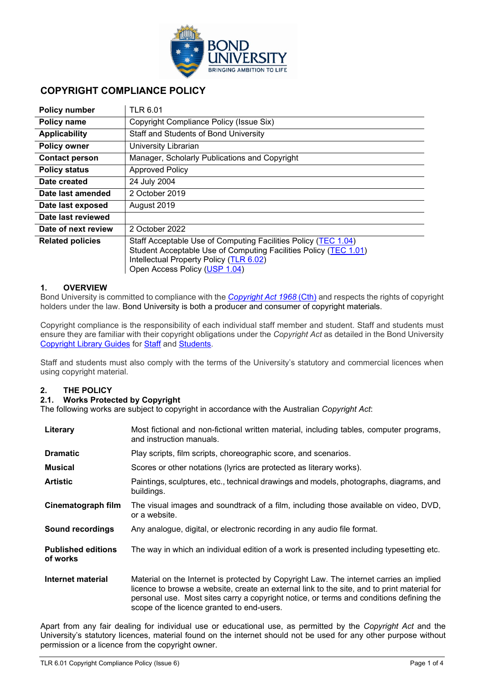

# **COPYRIGHT COMPLIANCE POLICY**

| <b>Policy number</b>    | <b>TLR 6.01</b>                                                                                                                                                                                                |  |
|-------------------------|----------------------------------------------------------------------------------------------------------------------------------------------------------------------------------------------------------------|--|
| Policy name             | Copyright Compliance Policy (Issue Six)                                                                                                                                                                        |  |
| <b>Applicability</b>    | Staff and Students of Bond University                                                                                                                                                                          |  |
| <b>Policy owner</b>     | University Librarian                                                                                                                                                                                           |  |
| <b>Contact person</b>   | Manager, Scholarly Publications and Copyright                                                                                                                                                                  |  |
| <b>Policy status</b>    | <b>Approved Policy</b>                                                                                                                                                                                         |  |
| Date created            | 24 July 2004                                                                                                                                                                                                   |  |
| Date last amended       | 2 October 2019                                                                                                                                                                                                 |  |
| Date last exposed       | August 2019                                                                                                                                                                                                    |  |
| Date last reviewed      |                                                                                                                                                                                                                |  |
| Date of next review     | 2 October 2022                                                                                                                                                                                                 |  |
| <b>Related policies</b> | Staff Acceptable Use of Computing Facilities Policy (TEC 1.04)<br>Student Acceptable Use of Computing Facilities Policy (TEC 1.01)<br>Intellectual Property Policy (TLR 6.02)<br>Open Access Policy (USP 1.04) |  |

# **1. OVERVIEW**

Bond University is committed to compliance with the *[Copyright Act 1968](https://www.legislation.gov.au/Details/C2021C00044)* (Cth) and respects the rights of copyright holders under the law. Bond University is both a producer and consumer of copyright materials.

Copyright compliance is the responsibility of each individual staff member and student. Staff and students must ensure they are familiar with their copyright obligations under the *Copyright Act* as detailed in the Bond University [Copyright Library Guides](https://library.bond.edu.au/help-support/scholarly-publishing-open-access/copyright-licensing) for [Staff](http://bond.libguides.com/copyright-for-staff) and [Students.](http://bond.libguides.com/copyright-for-students)

Staff and students must also comply with the terms of the University's statutory and commercial licences when using copyright material.

#### **2. THE POLICY**

#### **2.1. Works Protected by Copyright**

The following works are subject to copyright in accordance with the Australian *Copyright Act*:

| Literary                              | Most fictional and non-fictional written material, including tables, computer programs,<br>and instruction manuals.                                                                                                                                                                                                             |  |
|---------------------------------------|---------------------------------------------------------------------------------------------------------------------------------------------------------------------------------------------------------------------------------------------------------------------------------------------------------------------------------|--|
| <b>Dramatic</b>                       | Play scripts, film scripts, choreographic score, and scenarios.                                                                                                                                                                                                                                                                 |  |
| <b>Musical</b>                        | Scores or other notations (lyrics are protected as literary works).                                                                                                                                                                                                                                                             |  |
| <b>Artistic</b>                       | Paintings, sculptures, etc., technical drawings and models, photographs, diagrams, and<br>buildings.                                                                                                                                                                                                                            |  |
| Cinematograph film                    | The visual images and soundtrack of a film, including those available on video, DVD,<br>or a website.                                                                                                                                                                                                                           |  |
| <b>Sound recordings</b>               | Any analogue, digital, or electronic recording in any audio file format.                                                                                                                                                                                                                                                        |  |
| <b>Published editions</b><br>of works | The way in which an individual edition of a work is presented including typesetting etc.                                                                                                                                                                                                                                        |  |
| Internet material                     | Material on the Internet is protected by Copyright Law. The internet carries an implied<br>licence to browse a website, create an external link to the site, and to print material for<br>personal use. Most sites carry a copyright notice, or terms and conditions defining the<br>scope of the licence granted to end-users. |  |

Apart from any fair dealing for individual use or educational use, as permitted by the *Copyright Act* and the University's statutory licences, material found on the internet should not be used for any other purpose without permission or a licence from the copyright owner.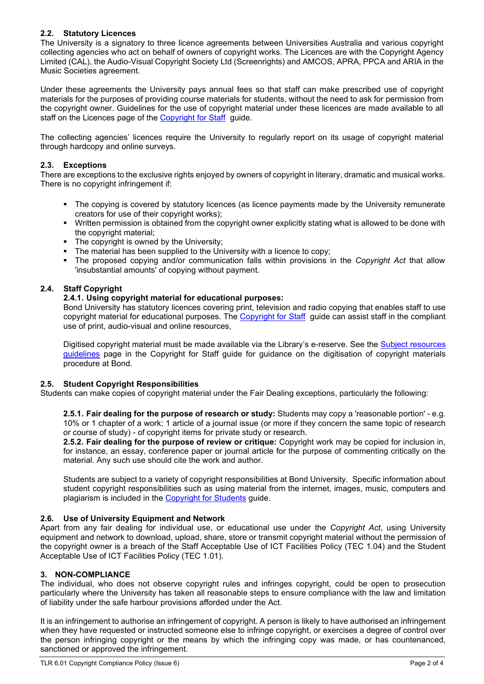# **2.2. Statutory Licences**

The University is a signatory to three licence agreements between Universities Australia and various copyright collecting agencies who act on behalf of owners of copyright works. The Licences are with the Copyright Agency Limited (CAL), the Audio-Visual Copyright Society Ltd (Screenrights) and AMCOS, APRA, PPCA and ARIA in the Music Societies agreement.

Under these agreements the University pays annual fees so that staff can make prescribed use of copyright materials for the purposes of providing course materials for students, without the need to ask for permission from the copyright owner. Guidelines for the use of copyright material under these licences are made available to all staff on the Licences page of the [Copyright for Staff](http://bond.libguides.com/copyright-for-staff/licences) guide.

The collecting agencies' licences require the University to regularly report on its usage of copyright material through hardcopy and online surveys.

### **2.3. Exceptions**

There are exceptions to the exclusive rights enjoyed by owners of copyright in literary, dramatic and musical works. There is no copyright infringement if:

- The copving is covered by statutory licences (as licence payments made by the University remunerate creators for use of their copyright works);
- Written permission is obtained from the copyright owner explicitly stating what is allowed to be done with the copyright material;
- The copyright is owned by the University;
- The material has been supplied to the University with a licence to copy;
- The proposed copying and/or communication falls within provisions in the *Copyright Act* that allow 'insubstantial amounts' of copying without payment.

#### **2.4. Staff Copyright**

#### **2.4.1. Using copyright material for educational purposes:**

Bond University has statutory licences covering print, television and radio copying that enables staff to use copyright material for educational purposes. The [Copyright for Staff](http://bond.libguides.com/copyright-for-staff/licences) guide can assist staff in the compliant use of print, audio-visual and online resources,

Digitised copyright material must be made available via the Library's e-reserve. See the [Subject resources](https://bond.libguides.com/copyright-for-staff/teaching/subject-resources-guidelines)  [guidelines](https://bond.libguides.com/copyright-for-staff/teaching/subject-resources-guidelines) page in the Copyright for Staff guide for guidance on the digitisation of copyright materials procedure at Bond.

#### **2.5. Student Copyright Responsibilities**

Students can make copies of copyright material under the Fair Dealing exceptions, particularly the following:

**2.5.1. Fair dealing for the purpose of research or study:** Students may copy a 'reasonable portion' - e.g. 10% or 1 chapter of a work; 1 article of a journal issue (or more if they concern the same topic of research or course of study) - of copyright items for private study or research.

**2.5.2. Fair dealing for the purpose of review or critique:** Copyright work may be copied for inclusion in, for instance, an essay, conference paper or journal article for the purpose of commenting critically on the material. Any such use should cite the work and author.

Students are subject to a variety of copyright responsibilities at Bond University. Specific information about student copyright responsibilities such as using material from the internet, images, music, computers and plagiarism is included in the [Copyright for Students](http://bond.libguides.com/copyright-for-students) guide.

#### **2.6. Use of University Equipment and Network**

Apart from any fair dealing for individual use, or educational use under the *Copyright Act*, using University equipment and network to download, upload, share, store or transmit copyright material without the permission of the copyright owner is a breach of the Staff Acceptable Use of ICT Facilities Policy (TEC 1.04) and the Student Acceptable Use of ICT Facilities Policy (TEC 1.01).

#### **3. NON-COMPLIANCE**

The individual, who does not observe copyright rules and infringes copyright, could be open to prosecution particularly where the University has taken all reasonable steps to ensure compliance with the law and limitation of liability under the safe harbour provisions afforded under the Act.

It is an infringement to authorise an infringement of copyright. A person is likely to have authorised an infringement when they have requested or instructed someone else to infringe copyright, or exercises a degree of control over the person infringing copyright or the means by which the infringing copy was made, or has countenanced, sanctioned or approved the infringement.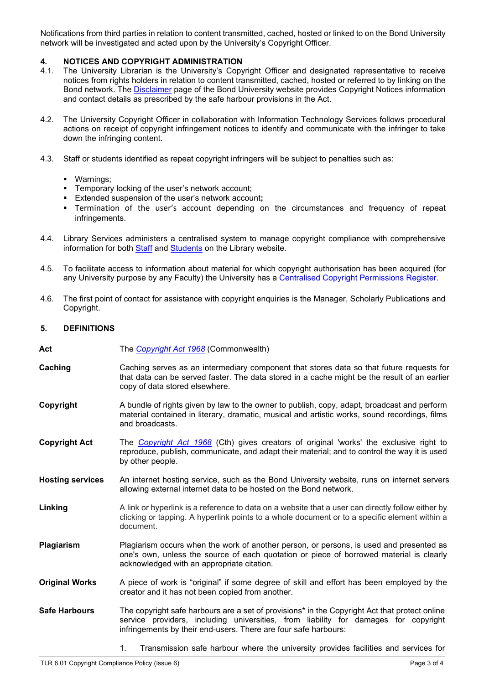Notifications from third parties in relation to content transmitted, cached, hosted or linked to on the Bond University network will be investigated and acted upon by the University's Copyright Officer.

# **4. NOTICES AND COPYRIGHT ADMINISTRATION**

- The University Librarian is the University's Copyright Officer and designated representative to receive notices from rights holders in relation to content transmitted, cached, hosted or referred to by linking on the Bond network. The [Disclaimer](https://bond.edu.au/disclaimer) page of the Bond University website provides Copyright Notices information and contact details as prescribed by the safe harbour provisions in the Act.
- 4.2. The University Copyright Officer in collaboration with Information Technology Services follows procedural actions on receipt of copyright infringement notices to identify and communicate with the infringer to take down the infringing content.
- 4.3. Staff or students identified as repeat copyright infringers will be subject to penalties such as:
	- Warnings;
	- **Temporary locking of the user's network account;**
	- Extended suspension of the user's network account**;**
	- Termination of the user's account depending on the circumstances and frequency of repeat infringements.
- 4.4. Library Services administers a centralised system to manage copyright compliance with comprehensive information for both [Staff](http://bond.libguides.com/copyright-for-staff/home) and [Students](http://bond.libguides.com/copyright-for-students) on the Library website.
- 4.5. To facilitate access to information about material for which copyright authorisation has been acquired (for any University purpose by any Faculty) the University has a [Centralised Copyright Permissions Register.](http://bond.libguides.com/copyright-for-staff/avoiding-infringements/seeking-permission)
- 4.6. The first point of contact for assistance with copyright enquiries is the Manager, Scholarly Publications and Copyright.

#### **5. DEFINITIONS**

- **Act** The *[Copyright Act 1968](https://www.legislation.gov.au/Details/C2021C00044)* (Commonwealth)
- **Caching** Caching serves as an intermediary component that stores data so that future requests for that data can be served faster. The data stored in a cache might be the result of an earlier copy of data stored elsewhere.
- **Copyright** A bundle of rights given by law to the owner to publish, copy, adapt, broadcast and perform material contained in literary, dramatic, musical and artistic works, sound recordings, films and broadcasts.
- **Copyright Act** The *[Copyright Act 1968](https://www.legislation.gov.au/Details/C2021C00044)* (Cth) gives creators of original 'works' the exclusive right to reproduce, publish, communicate, and adapt their material; and to control the way it is used by other people.
- **Hosting services** An internet hosting service, such as the Bond University website, runs on internet servers allowing external internet data to be hosted on the Bond network.
- **Linking** A link or hyperlink is a reference to data on a website that a user can directly follow either by clicking or tapping. A hyperlink points to a whole document or to a specific element within a document.
- **Plagiarism** Plagiarism occurs when the work of another person, or persons, is used and presented as one's own, unless the source of each quotation or piece of borrowed material is clearly acknowledged with an appropriate citation.
- **Original Works** A piece of work is "original" if some degree of skill and effort has been employed by the creator and it has not been copied from another.
- **Safe Harbours** The copyright safe harbours are a set of provisions<sup>\*</sup> in the Copyright Act that protect online service providers, including universities, from liability for damages for copyright infringements by their end-users. There are four safe harbours:
	- 1. Transmission safe harbour where the university provides facilities and services for